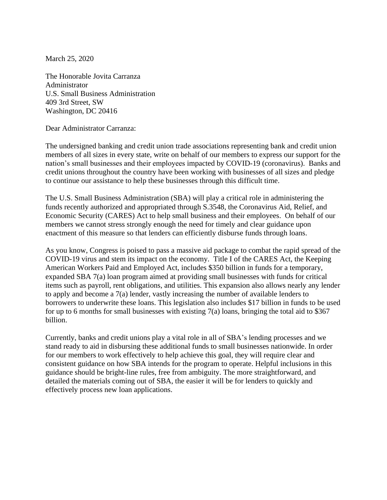March 25, 2020

The Honorable Jovita Carranza Administrator U.S. Small Business Administration 409 3rd Street, SW Washington, DC 20416

Dear Administrator Carranza:

The undersigned banking and credit union trade associations representing bank and credit union members of all sizes in every state, write on behalf of our members to express our support for the nation's small businesses and their employees impacted by COVID-19 (coronavirus). Banks and credit unions throughout the country have been working with businesses of all sizes and pledge to continue our assistance to help these businesses through this difficult time.

The U.S. Small Business Administration (SBA) will play a critical role in administering the funds recently authorized and appropriated through S.3548, the Coronavirus Aid, Relief, and Economic Security (CARES) Act to help small business and their employees. On behalf of our members we cannot stress strongly enough the need for timely and clear guidance upon enactment of this measure so that lenders can efficiently disburse funds through loans.

As you know, Congress is poised to pass a massive aid package to combat the rapid spread of the COVID-19 virus and stem its impact on the economy. Title I of the CARES Act, the Keeping American Workers Paid and Employed Act, includes \$350 billion in funds for a temporary, expanded SBA 7(a) loan program aimed at providing small businesses with funds for critical items such as payroll, rent obligations, and utilities. This expansion also allows nearly any lender to apply and become a 7(a) lender, vastly increasing the number of available lenders to borrowers to underwrite these loans. This legislation also includes \$17 billion in funds to be used for up to 6 months for small businesses with existing  $7(a)$  loans, bringing the total aid to \$367 billion.

Currently, banks and credit unions play a vital role in all of SBA's lending processes and we stand ready to aid in disbursing these additional funds to small businesses nationwide. In order for our members to work effectively to help achieve this goal, they will require clear and consistent guidance on how SBA intends for the program to operate. Helpful inclusions in this guidance should be bright-line rules, free from ambiguity. The more straightforward, and detailed the materials coming out of SBA, the easier it will be for lenders to quickly and effectively process new loan applications.